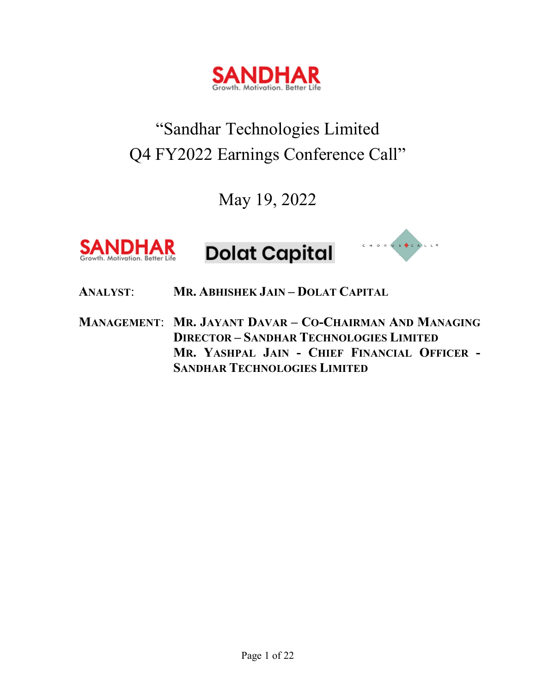

# "Sandhar Technologies Limited Q4 FY2022 Earnings Conference Call"

May 19, 2022



# **Dolat Capital**



**ANALYST**: **MR. ABHISHEK JAIN – DOLAT CAPITAL**

**MANAGEMENT**: **MR. JAYANT DAVAR – CO-CHAIRMAN AND MANAGING DIRECTOR – SANDHAR TECHNOLOGIES LIMITED MR. YASHPAL JAIN - CHIEF FINANCIAL OFFICER - SANDHAR TECHNOLOGIES LIMITED**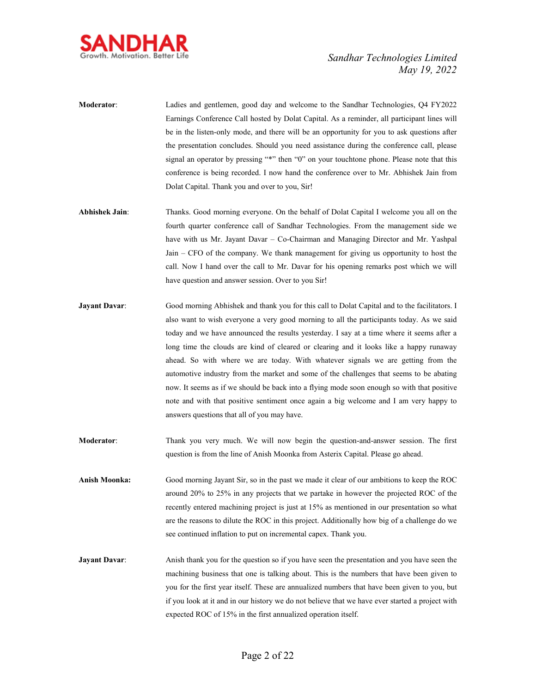

- **Moderator**: Ladies and gentlemen, good day and welcome to the Sandhar Technologies, Q4 FY2022 Earnings Conference Call hosted by Dolat Capital. As a reminder, all participant lines will be in the listen-only mode, and there will be an opportunity for you to ask questions after the presentation concludes. Should you need assistance during the conference call, please signal an operator by pressing "\*" then "0" on your touchtone phone. Please note that this conference is being recorded. I now hand the conference over to Mr. Abhishek Jain from Dolat Capital. Thank you and over to you, Sir!
- **Abhishek Jain**: Thanks. Good morning everyone. On the behalf of Dolat Capital I welcome you all on the fourth quarter conference call of Sandhar Technologies. From the management side we have with us Mr. Jayant Davar – Co-Chairman and Managing Director and Mr. Yashpal Jain – CFO of the company. We thank management for giving us opportunity to host the call. Now I hand over the call to Mr. Davar for his opening remarks post which we will have question and answer session. Over to you Sir!
- **Jayant Davar:** Good morning Abhishek and thank you for this call to Dolat Capital and to the facilitators. I also want to wish everyone a very good morning to all the participants today. As we said today and we have announced the results yesterday. I say at a time where it seems after a long time the clouds are kind of cleared or clearing and it looks like a happy runaway ahead. So with where we are today. With whatever signals we are getting from the automotive industry from the market and some of the challenges that seems to be abating now. It seems as if we should be back into a flying mode soon enough so with that positive note and with that positive sentiment once again a big welcome and I am very happy to answers questions that all of you may have.
- **Moderator**: Thank you very much. We will now begin the question-and-answer session. The first question is from the line of Anish Moonka from Asterix Capital. Please go ahead.
- **Anish Moonka:** Good morning Jayant Sir, so in the past we made it clear of our ambitions to keep the ROC around 20% to 25% in any projects that we partake in however the projected ROC of the recently entered machining project is just at 15% as mentioned in our presentation so what are the reasons to dilute the ROC in this project. Additionally how big of a challenge do we see continued inflation to put on incremental capex. Thank you.
- **Jayant Davar:** Anish thank you for the question so if you have seen the presentation and you have seen the machining business that one is talking about. This is the numbers that have been given to you for the first year itself. These are annualized numbers that have been given to you, but if you look at it and in our history we do not believe that we have ever started a project with expected ROC of 15% in the first annualized operation itself.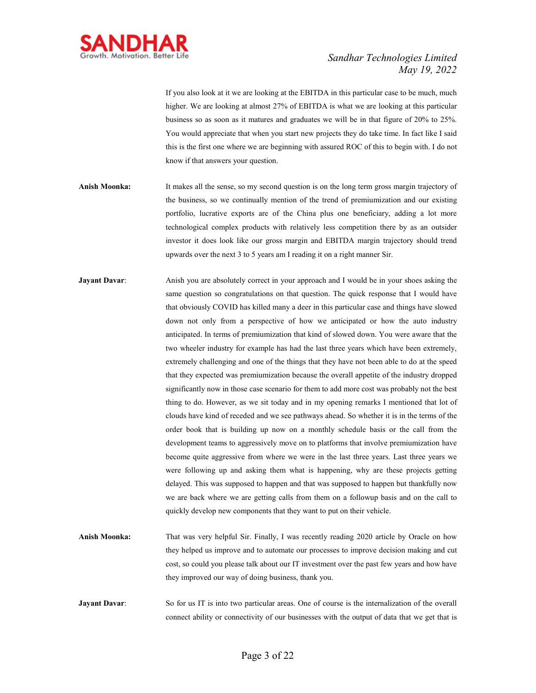

If you also look at it we are looking at the EBITDA in this particular case to be much, much higher. We are looking at almost 27% of EBITDA is what we are looking at this particular business so as soon as it matures and graduates we will be in that figure of 20% to 25%. You would appreciate that when you start new projects they do take time. In fact like I said this is the first one where we are beginning with assured ROC of this to begin with. I do not know if that answers your question.

- **Anish Moonka:** It makes all the sense, so my second question is on the long term gross margin trajectory of the business, so we continually mention of the trend of premiumization and our existing portfolio, lucrative exports are of the China plus one beneficiary, adding a lot more technological complex products with relatively less competition there by as an outsider investor it does look like our gross margin and EBITDA margin trajectory should trend upwards over the next 3 to 5 years am I reading it on a right manner Sir.
- **Jayant Davar:** Anish you are absolutely correct in your approach and I would be in your shoes asking the same question so congratulations on that question. The quick response that I would have that obviously COVID has killed many a deer in this particular case and things have slowed down not only from a perspective of how we anticipated or how the auto industry anticipated. In terms of premiumization that kind of slowed down. You were aware that the two wheeler industry for example has had the last three years which have been extremely, extremely challenging and one of the things that they have not been able to do at the speed that they expected was premiumization because the overall appetite of the industry dropped significantly now in those case scenario for them to add more cost was probably not the best thing to do. However, as we sit today and in my opening remarks I mentioned that lot of clouds have kind of receded and we see pathways ahead. So whether it is in the terms of the order book that is building up now on a monthly schedule basis or the call from the development teams to aggressively move on to platforms that involve premiumization have become quite aggressive from where we were in the last three years. Last three years we were following up and asking them what is happening, why are these projects getting delayed. This was supposed to happen and that was supposed to happen but thankfully now we are back where we are getting calls from them on a followup basis and on the call to quickly develop new components that they want to put on their vehicle.
- **Anish Moonka:** That was very helpful Sir. Finally, I was recently reading 2020 article by Oracle on how they helped us improve and to automate our processes to improve decision making and cut cost, so could you please talk about our IT investment over the past few years and how have they improved our way of doing business, thank you.
- **Jayant Davar:** So for us IT is into two particular areas. One of course is the internalization of the overall connect ability or connectivity of our businesses with the output of data that we get that is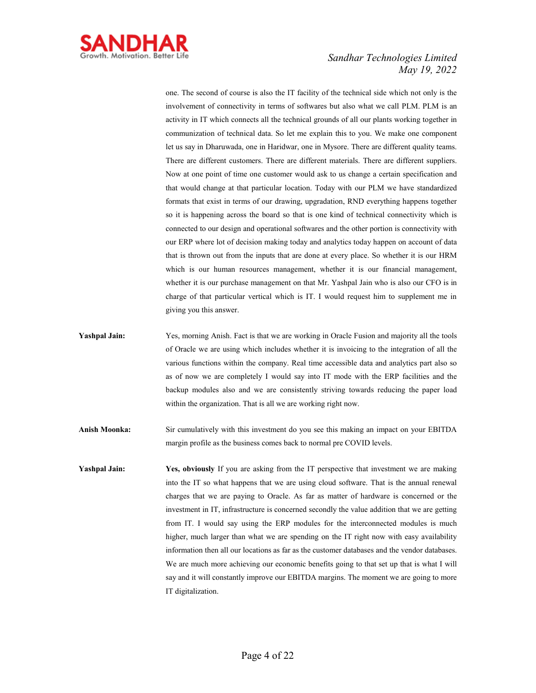

one. The second of course is also the IT facility of the technical side which not only is the involvement of connectivity in terms of softwares but also what we call PLM. PLM is an activity in IT which connects all the technical grounds of all our plants working together in communization of technical data. So let me explain this to you. We make one component let us say in Dharuwada, one in Haridwar, one in Mysore. There are different quality teams. There are different customers. There are different materials. There are different suppliers. Now at one point of time one customer would ask to us change a certain specification and that would change at that particular location. Today with our PLM we have standardized formats that exist in terms of our drawing, upgradation, RND everything happens together so it is happening across the board so that is one kind of technical connectivity which is connected to our design and operational softwares and the other portion is connectivity with our ERP where lot of decision making today and analytics today happen on account of data that is thrown out from the inputs that are done at every place. So whether it is our HRM which is our human resources management, whether it is our financial management, whether it is our purchase management on that Mr. Yashpal Jain who is also our CFO is in charge of that particular vertical which is IT. I would request him to supplement me in giving you this answer.

**Yashpal Jain:** Yes, morning Anish. Fact is that we are working in Oracle Fusion and majority all the tools of Oracle we are using which includes whether it is invoicing to the integration of all the various functions within the company. Real time accessible data and analytics part also so as of now we are completely I would say into IT mode with the ERP facilities and the backup modules also and we are consistently striving towards reducing the paper load within the organization. That is all we are working right now.

**Anish Moonka:** Sir cumulatively with this investment do you see this making an impact on your EBITDA margin profile as the business comes back to normal pre COVID levels.

**Yashpal Jain:** Yes, obviously If you are asking from the IT perspective that investment we are making into the IT so what happens that we are using cloud software. That is the annual renewal charges that we are paying to Oracle. As far as matter of hardware is concerned or the investment in IT, infrastructure is concerned secondly the value addition that we are getting from IT. I would say using the ERP modules for the interconnected modules is much higher, much larger than what we are spending on the IT right now with easy availability information then all our locations as far as the customer databases and the vendor databases. We are much more achieving our economic benefits going to that set up that is what I will say and it will constantly improve our EBITDA margins. The moment we are going to more IT digitalization.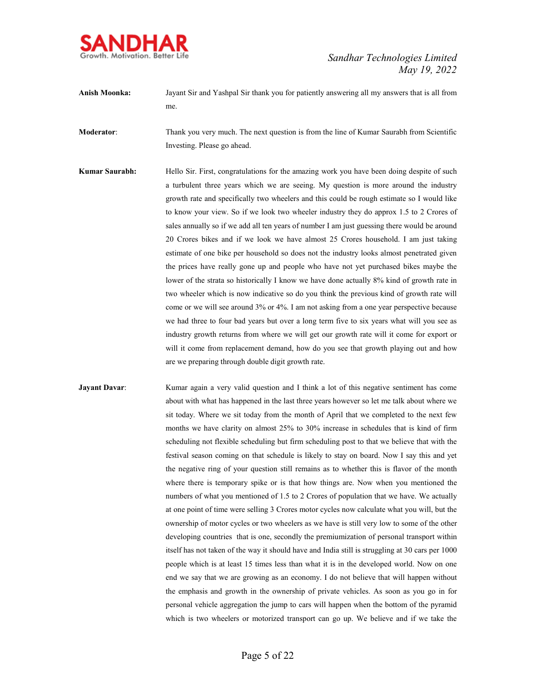

**Anish Moonka:** Jayant Sir and Yashpal Sir thank you for patiently answering all my answers that is all from me.

**Moderator**: Thank you very much. The next question is from the line of Kumar Saurabh from Scientific Investing. Please go ahead.

**Kumar Saurabh:** Hello Sir. First, congratulations for the amazing work you have been doing despite of such a turbulent three years which we are seeing. My question is more around the industry growth rate and specifically two wheelers and this could be rough estimate so I would like to know your view. So if we look two wheeler industry they do approx 1.5 to 2 Crores of sales annually so if we add all ten years of number I am just guessing there would be around 20 Crores bikes and if we look we have almost 25 Crores household. I am just taking estimate of one bike per household so does not the industry looks almost penetrated given the prices have really gone up and people who have not yet purchased bikes maybe the lower of the strata so historically I know we have done actually 8% kind of growth rate in two wheeler which is now indicative so do you think the previous kind of growth rate will come or we will see around 3% or 4%. I am not asking from a one year perspective because we had three to four bad years but over a long term five to six years what will you see as industry growth returns from where we will get our growth rate will it come for export or will it come from replacement demand, how do you see that growth playing out and how are we preparing through double digit growth rate.

**Jayant Davar:** Kumar again a very valid question and I think a lot of this negative sentiment has come about with what has happened in the last three years however so let me talk about where we sit today. Where we sit today from the month of April that we completed to the next few months we have clarity on almost 25% to 30% increase in schedules that is kind of firm scheduling not flexible scheduling but firm scheduling post to that we believe that with the festival season coming on that schedule is likely to stay on board. Now I say this and yet the negative ring of your question still remains as to whether this is flavor of the month where there is temporary spike or is that how things are. Now when you mentioned the numbers of what you mentioned of 1.5 to 2 Crores of population that we have. We actually at one point of time were selling 3 Crores motor cycles now calculate what you will, but the ownership of motor cycles or two wheelers as we have is still very low to some of the other developing countries that is one, secondly the premiumization of personal transport within itself has not taken of the way it should have and India still is struggling at 30 cars per 1000 people which is at least 15 times less than what it is in the developed world. Now on one end we say that we are growing as an economy. I do not believe that will happen without the emphasis and growth in the ownership of private vehicles. As soon as you go in for personal vehicle aggregation the jump to cars will happen when the bottom of the pyramid which is two wheelers or motorized transport can go up. We believe and if we take the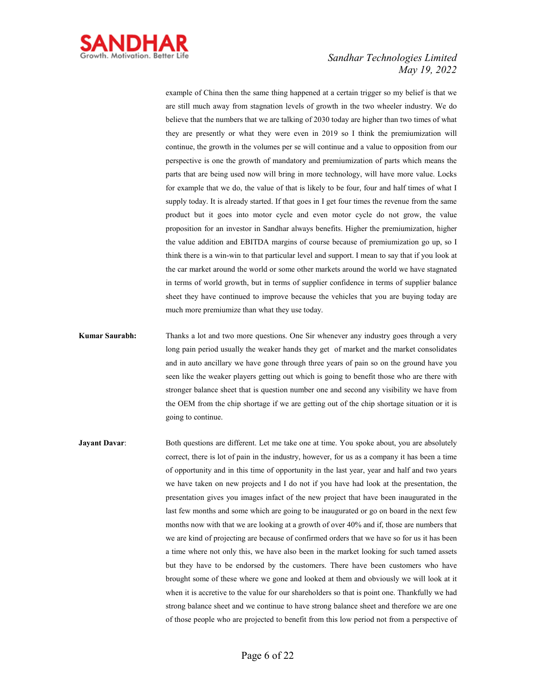

example of China then the same thing happened at a certain trigger so my belief is that we are still much away from stagnation levels of growth in the two wheeler industry. We do believe that the numbers that we are talking of 2030 today are higher than two times of what they are presently or what they were even in 2019 so I think the premiumization will continue, the growth in the volumes per se will continue and a value to opposition from our perspective is one the growth of mandatory and premiumization of parts which means the parts that are being used now will bring in more technology, will have more value. Locks for example that we do, the value of that is likely to be four, four and half times of what I supply today. It is already started. If that goes in I get four times the revenue from the same product but it goes into motor cycle and even motor cycle do not grow, the value proposition for an investor in Sandhar always benefits. Higher the premiumization, higher the value addition and EBITDA margins of course because of premiumization go up, so I think there is a win-win to that particular level and support. I mean to say that if you look at the car market around the world or some other markets around the world we have stagnated in terms of world growth, but in terms of supplier confidence in terms of supplier balance sheet they have continued to improve because the vehicles that you are buying today are much more premiumize than what they use today.

- **Kumar Saurabh:** Thanks a lot and two more questions. One Sir whenever any industry goes through a very long pain period usually the weaker hands they get of market and the market consolidates and in auto ancillary we have gone through three years of pain so on the ground have you seen like the weaker players getting out which is going to benefit those who are there with stronger balance sheet that is question number one and second any visibility we have from the OEM from the chip shortage if we are getting out of the chip shortage situation or it is going to continue.
- **Jayant Davar:** Both questions are different. Let me take one at time. You spoke about, you are absolutely correct, there is lot of pain in the industry, however, for us as a company it has been a time of opportunity and in this time of opportunity in the last year, year and half and two years we have taken on new projects and I do not if you have had look at the presentation, the presentation gives you images infact of the new project that have been inaugurated in the last few months and some which are going to be inaugurated or go on board in the next few months now with that we are looking at a growth of over 40% and if, those are numbers that we are kind of projecting are because of confirmed orders that we have so for us it has been a time where not only this, we have also been in the market looking for such tamed assets but they have to be endorsed by the customers. There have been customers who have brought some of these where we gone and looked at them and obviously we will look at it when it is accretive to the value for our shareholders so that is point one. Thankfully we had strong balance sheet and we continue to have strong balance sheet and therefore we are one of those people who are projected to benefit from this low period not from a perspective of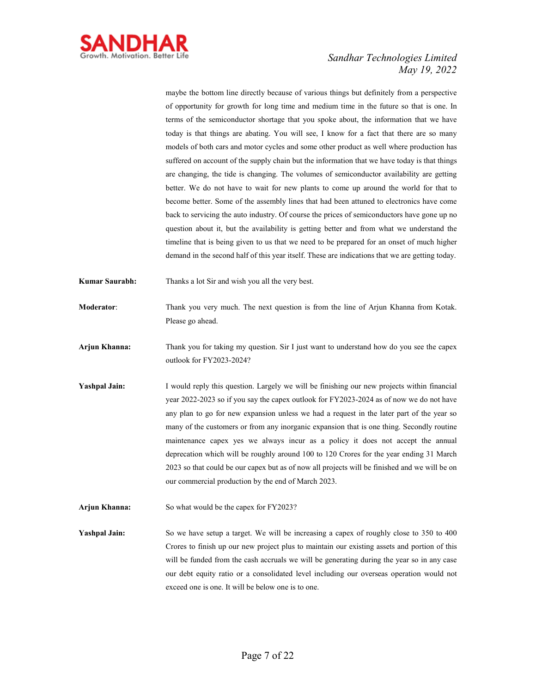

maybe the bottom line directly because of various things but definitely from a perspective of opportunity for growth for long time and medium time in the future so that is one. In terms of the semiconductor shortage that you spoke about, the information that we have today is that things are abating. You will see, I know for a fact that there are so many models of both cars and motor cycles and some other product as well where production has suffered on account of the supply chain but the information that we have today is that things are changing, the tide is changing. The volumes of semiconductor availability are getting better. We do not have to wait for new plants to come up around the world for that to become better. Some of the assembly lines that had been attuned to electronics have come back to servicing the auto industry. Of course the prices of semiconductors have gone up no question about it, but the availability is getting better and from what we understand the timeline that is being given to us that we need to be prepared for an onset of much higher demand in the second half of this year itself. These are indications that we are getting today.

- **Kumar Saurabh:** Thanks a lot Sir and wish you all the very best.
- **Moderator**: Thank you very much. The next question is from the line of Arjun Khanna from Kotak. Please go ahead.
- **Arjun Khanna:** Thank you for taking my question. Sir I just want to understand how do you see the capex outlook for FY2023-2024?
- **Yashpal Jain:** I would reply this question. Largely we will be finishing our new projects within financial year 2022-2023 so if you say the capex outlook for FY2023-2024 as of now we do not have any plan to go for new expansion unless we had a request in the later part of the year so many of the customers or from any inorganic expansion that is one thing. Secondly routine maintenance capex yes we always incur as a policy it does not accept the annual deprecation which will be roughly around 100 to 120 Crores for the year ending 31 March 2023 so that could be our capex but as of now all projects will be finished and we will be on our commercial production by the end of March 2023.
- **Arjun Khanna:** So what would be the capex for FY2023?

**Yashpal Jain:** So we have setup a target. We will be increasing a capex of roughly close to 350 to 400 Crores to finish up our new project plus to maintain our existing assets and portion of this will be funded from the cash accruals we will be generating during the year so in any case our debt equity ratio or a consolidated level including our overseas operation would not exceed one is one. It will be below one is to one.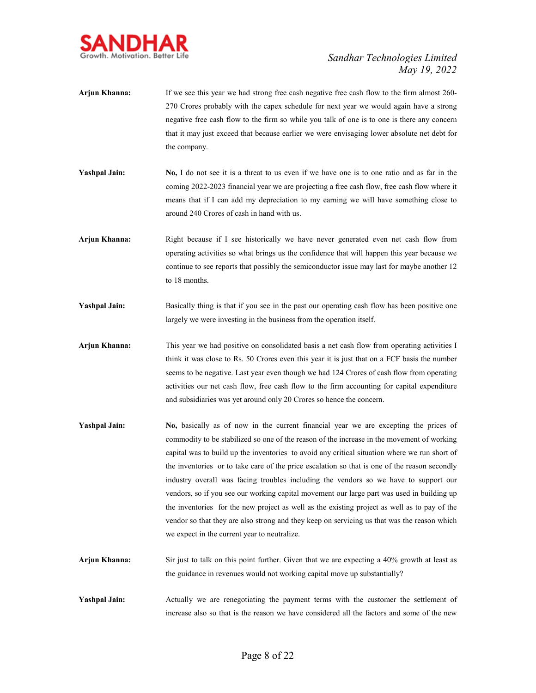

- **Arjun Khanna:** If we see this year we had strong free cash negative free cash flow to the firm almost 260- 270 Crores probably with the capex schedule for next year we would again have a strong negative free cash flow to the firm so while you talk of one is to one is there any concern that it may just exceed that because earlier we were envisaging lower absolute net debt for the company.
- **Yashpal Jain: No,** I do not see it is a threat to us even if we have one is to one ratio and as far in the coming 2022-2023 financial year we are projecting a free cash flow, free cash flow where it means that if I can add my depreciation to my earning we will have something close to around 240 Crores of cash in hand with us.
- **Arjun Khanna:** Right because if I see historically we have never generated even net cash flow from operating activities so what brings us the confidence that will happen this year because we continue to see reports that possibly the semiconductor issue may last for maybe another 12 to 18 months.
- **Yashpal Jain:** Basically thing is that if you see in the past our operating cash flow has been positive one largely we were investing in the business from the operation itself.
- **Arjun Khanna:** This year we had positive on consolidated basis a net cash flow from operating activities I think it was close to Rs. 50 Crores even this year it is just that on a FCF basis the number seems to be negative. Last year even though we had 124 Crores of cash flow from operating activities our net cash flow, free cash flow to the firm accounting for capital expenditure and subsidiaries was yet around only 20 Crores so hence the concern.
- **Yashpal Jain:** No, basically as of now in the current financial year we are excepting the prices of commodity to be stabilized so one of the reason of the increase in the movement of working capital was to build up the inventories to avoid any critical situation where we run short of the inventories or to take care of the price escalation so that is one of the reason secondly industry overall was facing troubles including the vendors so we have to support our vendors, so if you see our working capital movement our large part was used in building up the inventories for the new project as well as the existing project as well as to pay of the vendor so that they are also strong and they keep on servicing us that was the reason which we expect in the current year to neutralize.
- **Arjun Khanna:** Sir just to talk on this point further. Given that we are expecting a 40% growth at least as the guidance in revenues would not working capital move up substantially?
- Yashpal Jain: Actually we are renegotiating the payment terms with the customer the settlement of increase also so that is the reason we have considered all the factors and some of the new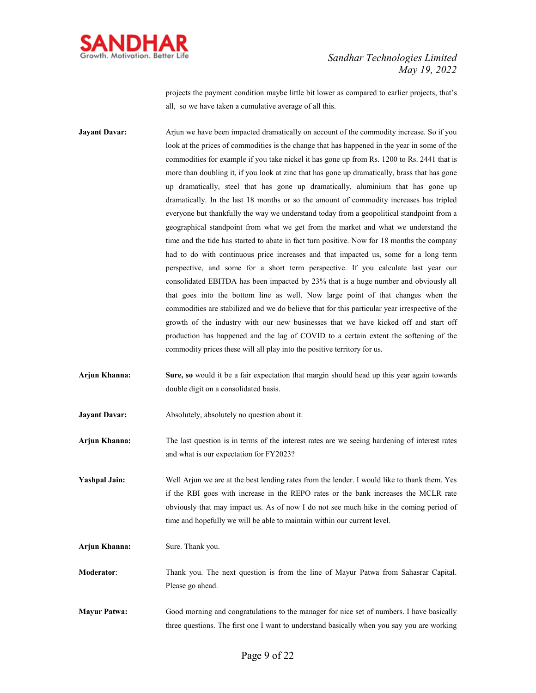

projects the payment condition maybe little bit lower as compared to earlier projects, that's all, so we have taken a cumulative average of all this.

**Jayant Davar:** Arjun we have been impacted dramatically on account of the commodity increase. So if you look at the prices of commodities is the change that has happened in the year in some of the commodities for example if you take nickel it has gone up from Rs. 1200 to Rs. 2441 that is more than doubling it, if you look at zinc that has gone up dramatically, brass that has gone up dramatically, steel that has gone up dramatically, aluminium that has gone up dramatically. In the last 18 months or so the amount of commodity increases has tripled everyone but thankfully the way we understand today from a geopolitical standpoint from a geographical standpoint from what we get from the market and what we understand the time and the tide has started to abate in fact turn positive. Now for 18 months the company had to do with continuous price increases and that impacted us, some for a long term perspective, and some for a short term perspective. If you calculate last year our consolidated EBITDA has been impacted by 23% that is a huge number and obviously all that goes into the bottom line as well. Now large point of that changes when the commodities are stabilized and we do believe that for this particular year irrespective of the growth of the industry with our new businesses that we have kicked off and start off production has happened and the lag of COVID to a certain extent the softening of the commodity prices these will all play into the positive territory for us.

**Arjun Khanna: Sure, so** would it be a fair expectation that margin should head up this year again towards double digit on a consolidated basis.

**Jayant Davar:** Absolutely, absolutely no question about it.

**Arjun Khanna:** The last question is in terms of the interest rates are we seeing hardening of interest rates and what is our expectation for FY2023?

**Yashpal Jain:** Well Arjun we are at the best lending rates from the lender. I would like to thank them. Yes if the RBI goes with increase in the REPO rates or the bank increases the MCLR rate obviously that may impact us. As of now I do not see much hike in the coming period of time and hopefully we will be able to maintain within our current level.

**Arjun Khanna:** Sure. Thank you.

**Moderator**: Thank you. The next question is from the line of Mayur Patwa from Sahasrar Capital. Please go ahead.

**Mayur Patwa:** Good morning and congratulations to the manager for nice set of numbers. I have basically three questions. The first one I want to understand basically when you say you are working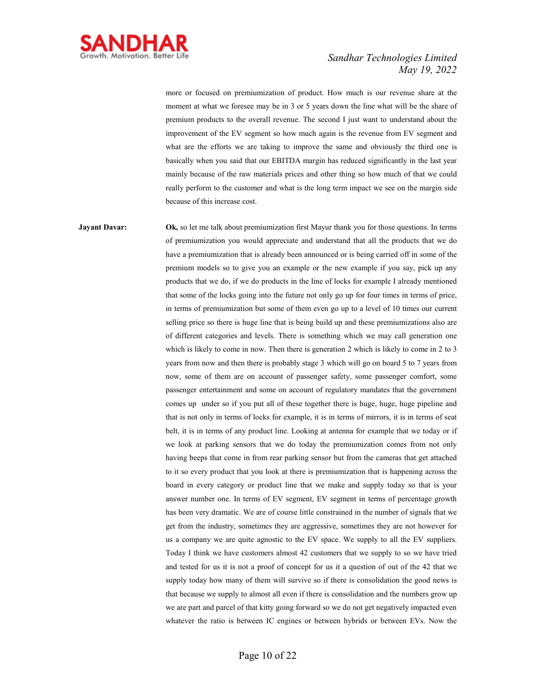

more or focused on premiumization of product. How much is our revenue share at the moment at what we foresee may be in 3 or 5 years down the line what will be the share of premium products to the overall revenue. The second I just want to understand about the improvement of the EV segment so how much again is the revenue from EV segment and what are the efforts we are taking to improve the same and obviously the third one is basically when you said that our EBITDA margin has reduced significantly in the last year mainly because of the raw materials prices and other thing so how much of that we could really perform to the customer and what is the long term impact we see on the margin side because of this increase cost.

**Jayant Davar:** Ok, so let me talk about premiumization first Mayur thank you for those questions. In terms of premiumization you would appreciate and understand that all the products that we do have a premiumization that is already been announced or is being carried off in some of the premium models so to give you an example or the new example if you say, pick up any products that we do, if we do products in the line of locks for example I already mentioned that some of the locks going into the future not only go up for four times in terms of price, in terms of premiumization but some of them even go up to a level of 10 times our current selling price so there is huge line that is being build up and these premiumizations also are of different categories and levels. There is something which we may call generation one which is likely to come in now. Then there is generation 2 which is likely to come in 2 to 3 years from now and then there is probably stage 3 which will go on board 5 to 7 years from now, some of them are on account of passenger safety, some passenger comfort, some passenger entertainment and some on account of regulatory mandates that the government comes up under so if you put all of these together there is huge, huge, huge pipeline and that is not only in terms of locks for example, it is in terms of mirrors, it is in terms of seat belt, it is in terms of any product line. Looking at antenna for example that we today or if we look at parking sensors that we do today the premiumization comes from not only having beeps that come in from rear parking sensor but from the cameras that get attached to it so every product that you look at there is premiumization that is happening across the board in every category or product line that we make and supply today so that is your answer number one. In terms of EV segment, EV segment in terms of percentage growth has been very dramatic. We are of course little constrained in the number of signals that we get from the industry, sometimes they are aggressive, sometimes they are not however for us a company we are quite agnostic to the EV space. We supply to all the EV suppliers. Today I think we have customers almost 42 customers that we supply to so we have tried and tested for us it is not a proof of concept for us it a question of out of the 42 that we supply today how many of them will survive so if there is consolidation the good news is that because we supply to almost all even if there is consolidation and the numbers grow up we are part and parcel of that kitty going forward so we do not get negatively impacted even whatever the ratio is between IC engines or between hybrids or between EVs. Now the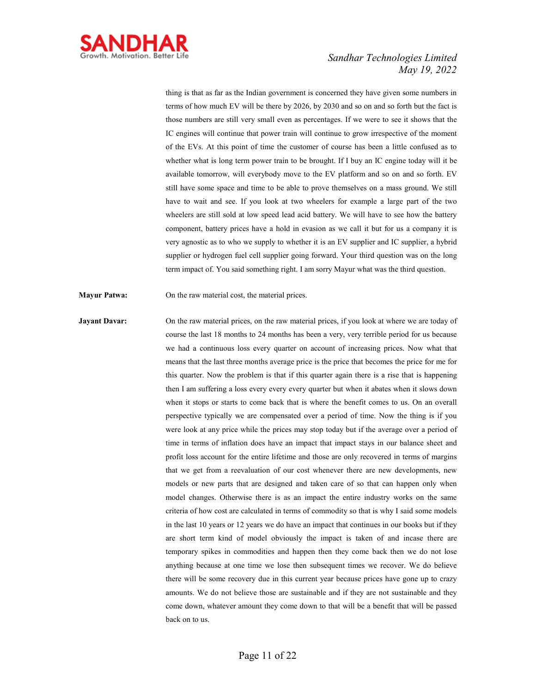

thing is that as far as the Indian government is concerned they have given some numbers in terms of how much EV will be there by 2026, by 2030 and so on and so forth but the fact is those numbers are still very small even as percentages. If we were to see it shows that the IC engines will continue that power train will continue to grow irrespective of the moment of the EVs. At this point of time the customer of course has been a little confused as to whether what is long term power train to be brought. If I buy an IC engine today will it be available tomorrow, will everybody move to the EV platform and so on and so forth. EV still have some space and time to be able to prove themselves on a mass ground. We still have to wait and see. If you look at two wheelers for example a large part of the two wheelers are still sold at low speed lead acid battery. We will have to see how the battery component, battery prices have a hold in evasion as we call it but for us a company it is very agnostic as to who we supply to whether it is an EV supplier and IC supplier, a hybrid supplier or hydrogen fuel cell supplier going forward. Your third question was on the long term impact of. You said something right. I am sorry Mayur what was the third question.

**Mayur Patwa:** On the raw material cost, the material prices.

**Jayant Davar:** On the raw material prices, on the raw material prices, if you look at where we are today of course the last 18 months to 24 months has been a very, very terrible period for us because we had a continuous loss every quarter on account of increasing prices. Now what that means that the last three months average price is the price that becomes the price for me for this quarter. Now the problem is that if this quarter again there is a rise that is happening then I am suffering a loss every every every quarter but when it abates when it slows down when it stops or starts to come back that is where the benefit comes to us. On an overall perspective typically we are compensated over a period of time. Now the thing is if you were look at any price while the prices may stop today but if the average over a period of time in terms of inflation does have an impact that impact stays in our balance sheet and profit loss account for the entire lifetime and those are only recovered in terms of margins that we get from a reevaluation of our cost whenever there are new developments, new models or new parts that are designed and taken care of so that can happen only when model changes. Otherwise there is as an impact the entire industry works on the same criteria of how cost are calculated in terms of commodity so that is why I said some models in the last 10 years or 12 years we do have an impact that continues in our books but if they are short term kind of model obviously the impact is taken of and incase there are temporary spikes in commodities and happen then they come back then we do not lose anything because at one time we lose then subsequent times we recover. We do believe there will be some recovery due in this current year because prices have gone up to crazy amounts. We do not believe those are sustainable and if they are not sustainable and they come down, whatever amount they come down to that will be a benefit that will be passed back on to us.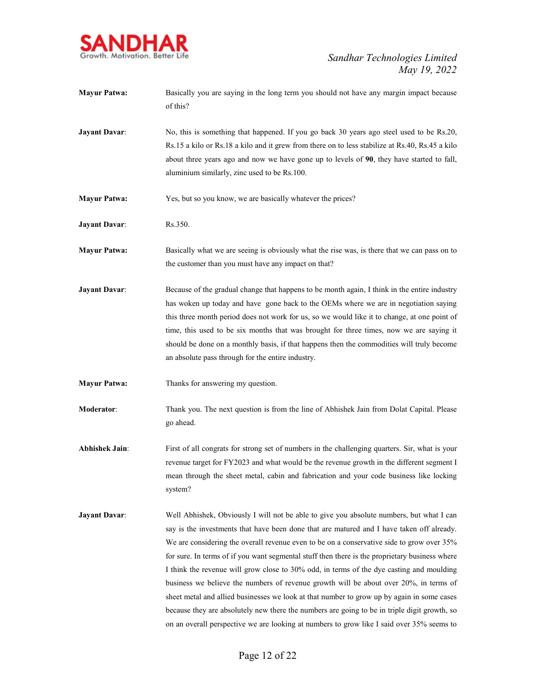

| <b>Mayur Patwa:</b>   | Basically you are saying in the long term you should not have any margin impact because<br>of this?                                                                                                                                                                                                                                                                                                                                                                                                                                                                                                                                                                                                                                                                                                                                                                  |
|-----------------------|----------------------------------------------------------------------------------------------------------------------------------------------------------------------------------------------------------------------------------------------------------------------------------------------------------------------------------------------------------------------------------------------------------------------------------------------------------------------------------------------------------------------------------------------------------------------------------------------------------------------------------------------------------------------------------------------------------------------------------------------------------------------------------------------------------------------------------------------------------------------|
| <b>Jayant Davar:</b>  | No, this is something that happened. If you go back 30 years ago steel used to be Rs.20,<br>Rs.15 a kilo or Rs.18 a kilo and it grew from there on to less stabilize at Rs.40, Rs.45 a kilo<br>about three years ago and now we have gone up to levels of 90, they have started to fall,<br>aluminium similarly, zinc used to be Rs.100.                                                                                                                                                                                                                                                                                                                                                                                                                                                                                                                             |
| <b>Mayur Patwa:</b>   | Yes, but so you know, we are basically whatever the prices?                                                                                                                                                                                                                                                                                                                                                                                                                                                                                                                                                                                                                                                                                                                                                                                                          |
| <b>Jayant Davar:</b>  | Rs.350.                                                                                                                                                                                                                                                                                                                                                                                                                                                                                                                                                                                                                                                                                                                                                                                                                                                              |
| <b>Mayur Patwa:</b>   | Basically what we are seeing is obviously what the rise was, is there that we can pass on to<br>the customer than you must have any impact on that?                                                                                                                                                                                                                                                                                                                                                                                                                                                                                                                                                                                                                                                                                                                  |
| <b>Jayant Davar:</b>  | Because of the gradual change that happens to be month again, I think in the entire industry<br>has woken up today and have gone back to the OEMs where we are in negotiation saying<br>this three month period does not work for us, so we would like it to change, at one point of<br>time, this used to be six months that was brought for three times, now we are saying it<br>should be done on a monthly basis, if that happens then the commodities will truly become<br>an absolute pass through for the entire industry.                                                                                                                                                                                                                                                                                                                                    |
| <b>Mayur Patwa:</b>   | Thanks for answering my question.                                                                                                                                                                                                                                                                                                                                                                                                                                                                                                                                                                                                                                                                                                                                                                                                                                    |
| <b>Moderator:</b>     | Thank you. The next question is from the line of Abhishek Jain from Dolat Capital. Please<br>go ahead.                                                                                                                                                                                                                                                                                                                                                                                                                                                                                                                                                                                                                                                                                                                                                               |
| <b>Abhishek Jain:</b> | First of all congrats for strong set of numbers in the challenging quarters. Sir, what is your<br>revenue target for FY2023 and what would be the revenue growth in the different segment I<br>mean through the sheet metal, cabin and fabrication and your code business like locking<br>system?                                                                                                                                                                                                                                                                                                                                                                                                                                                                                                                                                                    |
| <b>Jayant Davar:</b>  | Well Abhishek, Obviously I will not be able to give you absolute numbers, but what I can<br>say is the investments that have been done that are matured and I have taken off already.<br>We are considering the overall revenue even to be on a conservative side to grow over 35%<br>for sure. In terms of if you want segmental stuff then there is the proprietary business where<br>I think the revenue will grow close to 30% odd, in terms of the dye casting and moulding<br>business we believe the numbers of revenue growth will be about over 20%, in terms of<br>sheet metal and allied businesses we look at that number to grow up by again in some cases<br>because they are absolutely new there the numbers are going to be in triple digit growth, so<br>on an overall perspective we are looking at numbers to grow like I said over 35% seems to |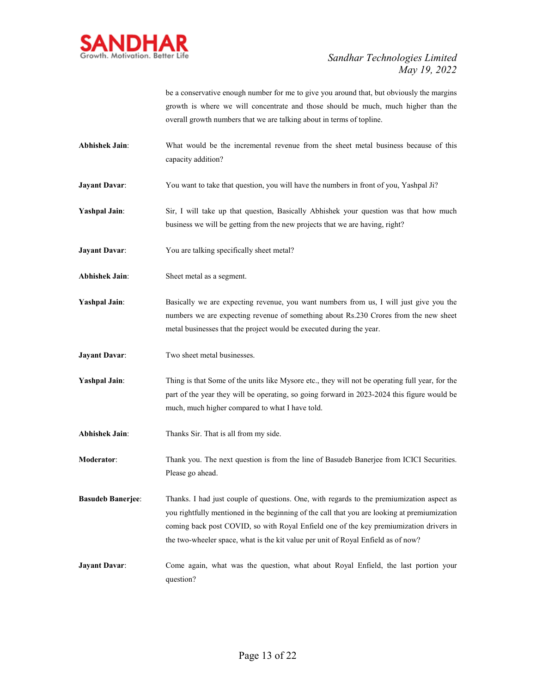

be a conservative enough number for me to give you around that, but obviously the margins growth is where we will concentrate and those should be much, much higher than the overall growth numbers that we are talking about in terms of topline.

- **Abhishek Jain**: What would be the incremental revenue from the sheet metal business because of this capacity addition?
- **Jayant Davar:** You want to take that question, you will have the numbers in front of you, Yashpal Ji?
- **Yashpal Jain**: Sir, I will take up that question, Basically Abhishek your question was that how much business we will be getting from the new projects that we are having, right?
- **Jayant Davar:** You are talking specifically sheet metal?
- **Abhishek Jain**: Sheet metal as a segment.
- **Yashpal Jain**: Basically we are expecting revenue, you want numbers from us, I will just give you the numbers we are expecting revenue of something about Rs.230 Crores from the new sheet metal businesses that the project would be executed during the year.
- **Jayant Davar:** Two sheet metal businesses.
- **Yashpal Jain:** Thing is that Some of the units like Mysore etc., they will not be operating full year, for the part of the year they will be operating, so going forward in 2023-2024 this figure would be much, much higher compared to what I have told.
- **Abhishek Jain**: Thanks Sir. That is all from my side.

**Moderator**: Thank you. The next question is from the line of Basudeb Banerjee from ICICI Securities. Please go ahead.

**Basudeb Banerjee**: Thanks. I had just couple of questions. One, with regards to the premiumization aspect as you rightfully mentioned in the beginning of the call that you are looking at premiumization coming back post COVID, so with Royal Enfield one of the key premiumization drivers in the two-wheeler space, what is the kit value per unit of Royal Enfield as of now?

**Jayant Davar:** Come again, what was the question, what about Royal Enfield, the last portion your question?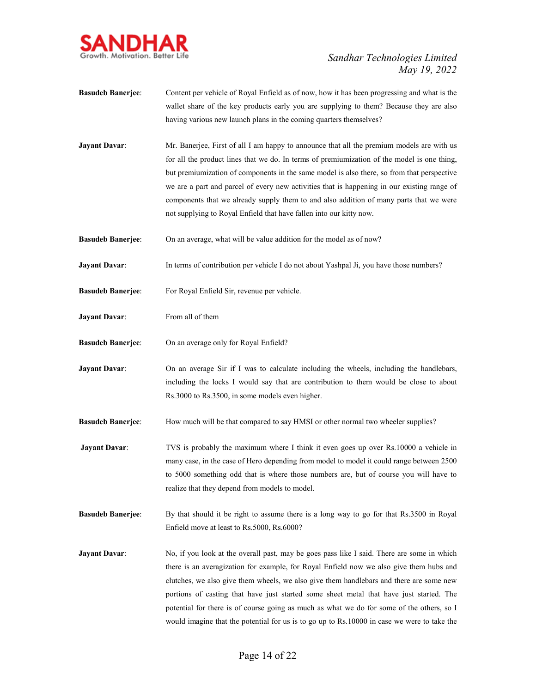

- **Basudeb Banerjee**: Content per vehicle of Royal Enfield as of now, how it has been progressing and what is the wallet share of the key products early you are supplying to them? Because they are also having various new launch plans in the coming quarters themselves?
- **Jayant Davar:** Mr. Banerjee, First of all I am happy to announce that all the premium models are with us for all the product lines that we do. In terms of premiumization of the model is one thing, but premiumization of components in the same model is also there, so from that perspective we are a part and parcel of every new activities that is happening in our existing range of components that we already supply them to and also addition of many parts that we were not supplying to Royal Enfield that have fallen into our kitty now.
- **Basudeb Banerjee:** On an average, what will be value addition for the model as of now?
- **Jayant Davar:** In terms of contribution per vehicle I do not about Yashpal Ji, you have those numbers?
- **Basudeb Banerjee**: For Royal Enfield Sir, revenue per vehicle.
- **Jayant Davar:** From all of them
- **Basudeb Banerjee**: On an average only for Royal Enfield?
- **Jayant Davar:** On an average Sir if I was to calculate including the wheels, including the handlebars, including the locks I would say that are contribution to them would be close to about Rs.3000 to Rs.3500, in some models even higher.
- **Basudeb Banerjee**: How much will be that compared to say HMSI or other normal two wheeler supplies?
- **Jayant Davar:** TVS is probably the maximum where I think it even goes up over Rs.10000 a vehicle in many case, in the case of Hero depending from model to model it could range between 2500 to 5000 something odd that is where those numbers are, but of course you will have to realize that they depend from models to model.
- **Basudeb Banerjee**: By that should it be right to assume there is a long way to go for that Rs.3500 in Royal Enfield move at least to Rs.5000, Rs.6000?
- **Jayant Davar:** No, if you look at the overall past, may be goes pass like I said. There are some in which there is an averagization for example, for Royal Enfield now we also give them hubs and clutches, we also give them wheels, we also give them handlebars and there are some new portions of casting that have just started some sheet metal that have just started. The potential for there is of course going as much as what we do for some of the others, so I would imagine that the potential for us is to go up to Rs.10000 in case we were to take the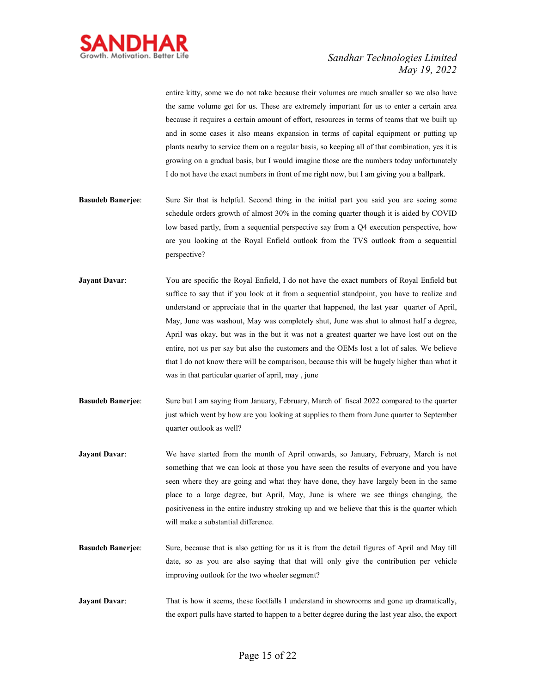

entire kitty, some we do not take because their volumes are much smaller so we also have the same volume get for us. These are extremely important for us to enter a certain area because it requires a certain amount of effort, resources in terms of teams that we built up and in some cases it also means expansion in terms of capital equipment or putting up plants nearby to service them on a regular basis, so keeping all of that combination, yes it is growing on a gradual basis, but I would imagine those are the numbers today unfortunately I do not have the exact numbers in front of me right now, but I am giving you a ballpark.

- **Basudeb Banerjee**: Sure Sir that is helpful. Second thing in the initial part you said you are seeing some schedule orders growth of almost 30% in the coming quarter though it is aided by COVID low based partly, from a sequential perspective say from a Q4 execution perspective, how are you looking at the Royal Enfield outlook from the TVS outlook from a sequential perspective?
- **Jayant Davar:** You are specific the Royal Enfield, I do not have the exact numbers of Royal Enfield but suffice to say that if you look at it from a sequential standpoint, you have to realize and understand or appreciate that in the quarter that happened, the last year quarter of April, May, June was washout, May was completely shut, June was shut to almost half a degree, April was okay, but was in the but it was not a greatest quarter we have lost out on the entire, not us per say but also the customers and the OEMs lost a lot of sales. We believe that I do not know there will be comparison, because this will be hugely higher than what it was in that particular quarter of april, may , june
- **Basudeb Banerjee**: Sure but I am saying from January, February, March of fiscal 2022 compared to the quarter just which went by how are you looking at supplies to them from June quarter to September quarter outlook as well?
- **Jayant Davar**: We have started from the month of April onwards, so January, February, March is not something that we can look at those you have seen the results of everyone and you have seen where they are going and what they have done, they have largely been in the same place to a large degree, but April, May, June is where we see things changing, the positiveness in the entire industry stroking up and we believe that this is the quarter which will make a substantial difference.
- **Basudeb Banerjee**: Sure, because that is also getting for us it is from the detail figures of April and May till date, so as you are also saying that that will only give the contribution per vehicle improving outlook for the two wheeler segment?
- **Jayant Davar:** That is how it seems, these footfalls I understand in showrooms and gone up dramatically, the export pulls have started to happen to a better degree during the last year also, the export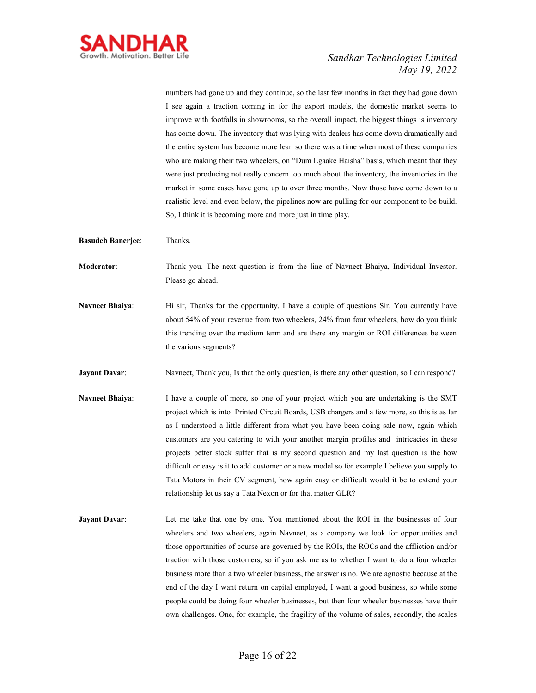

numbers had gone up and they continue, so the last few months in fact they had gone down I see again a traction coming in for the export models, the domestic market seems to improve with footfalls in showrooms, so the overall impact, the biggest things is inventory has come down. The inventory that was lying with dealers has come down dramatically and the entire system has become more lean so there was a time when most of these companies who are making their two wheelers, on "Dum Lgaake Haisha" basis, which meant that they were just producing not really concern too much about the inventory, the inventories in the market in some cases have gone up to over three months. Now those have come down to a realistic level and even below, the pipelines now are pulling for our component to be build. So, I think it is becoming more and more just in time play.

- **Basudeb Banerjee**: Thanks.
- **Moderator**: Thank you. The next question is from the line of Navneet Bhaiya, Individual Investor. Please go ahead.
- **Navneet Bhaiya:** Hi sir, Thanks for the opportunity. I have a couple of questions Sir. You currently have about 54% of your revenue from two wheelers, 24% from four wheelers, how do you think this trending over the medium term and are there any margin or ROI differences between the various segments?
- **Jayant Davar:** Navneet, Thank you, Is that the only question, is there any other question, so I can respond?
- **Navneet Bhaiya**: I have a couple of more, so one of your project which you are undertaking is the SMT project which is into Printed Circuit Boards, USB chargers and a few more, so this is as far as I understood a little different from what you have been doing sale now, again which customers are you catering to with your another margin profiles and intricacies in these projects better stock suffer that is my second question and my last question is the how difficult or easy is it to add customer or a new model so for example I believe you supply to Tata Motors in their CV segment, how again easy or difficult would it be to extend your relationship let us say a Tata Nexon or for that matter GLR?
- **Jayant Davar:** Let me take that one by one. You mentioned about the ROI in the businesses of four wheelers and two wheelers, again Navneet, as a company we look for opportunities and those opportunities of course are governed by the ROIs, the ROCs and the affliction and/or traction with those customers, so if you ask me as to whether I want to do a four wheeler business more than a two wheeler business, the answer is no. We are agnostic because at the end of the day I want return on capital employed, I want a good business, so while some people could be doing four wheeler businesses, but then four wheeler businesses have their own challenges. One, for example, the fragility of the volume of sales, secondly, the scales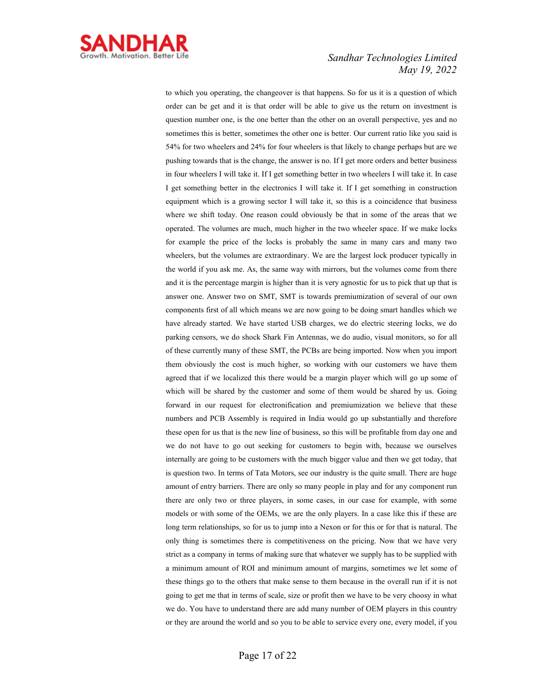

to which you operating, the changeover is that happens. So for us it is a question of which order can be get and it is that order will be able to give us the return on investment is question number one, is the one better than the other on an overall perspective, yes and no sometimes this is better, sometimes the other one is better. Our current ratio like you said is 54% for two wheelers and 24% for four wheelers is that likely to change perhaps but are we pushing towards that is the change, the answer is no. If I get more orders and better business in four wheelers I will take it. If I get something better in two wheelers I will take it. In case I get something better in the electronics I will take it. If I get something in construction equipment which is a growing sector I will take it, so this is a coincidence that business where we shift today. One reason could obviously be that in some of the areas that we operated. The volumes are much, much higher in the two wheeler space. If we make locks for example the price of the locks is probably the same in many cars and many two wheelers, but the volumes are extraordinary. We are the largest lock producer typically in the world if you ask me. As, the same way with mirrors, but the volumes come from there and it is the percentage margin is higher than it is very agnostic for us to pick that up that is answer one. Answer two on SMT, SMT is towards premiumization of several of our own components first of all which means we are now going to be doing smart handles which we have already started. We have started USB charges, we do electric steering locks, we do parking censors, we do shock Shark Fin Antennas, we do audio, visual monitors, so for all of these currently many of these SMT, the PCBs are being imported. Now when you import them obviously the cost is much higher, so working with our customers we have them agreed that if we localized this there would be a margin player which will go up some of which will be shared by the customer and some of them would be shared by us. Going forward in our request for electronification and premiumization we believe that these numbers and PCB Assembly is required in India would go up substantially and therefore these open for us that is the new line of business, so this will be profitable from day one and we do not have to go out seeking for customers to begin with, because we ourselves internally are going to be customers with the much bigger value and then we get today, that is question two. In terms of Tata Motors, see our industry is the quite small. There are huge amount of entry barriers. There are only so many people in play and for any component run there are only two or three players, in some cases, in our case for example, with some models or with some of the OEMs, we are the only players. In a case like this if these are long term relationships, so for us to jump into a Nexon or for this or for that is natural. The only thing is sometimes there is competitiveness on the pricing. Now that we have very strict as a company in terms of making sure that whatever we supply has to be supplied with a minimum amount of ROI and minimum amount of margins, sometimes we let some of these things go to the others that make sense to them because in the overall run if it is not going to get me that in terms of scale, size or profit then we have to be very choosy in what we do. You have to understand there are add many number of OEM players in this country or they are around the world and so you to be able to service every one, every model, if you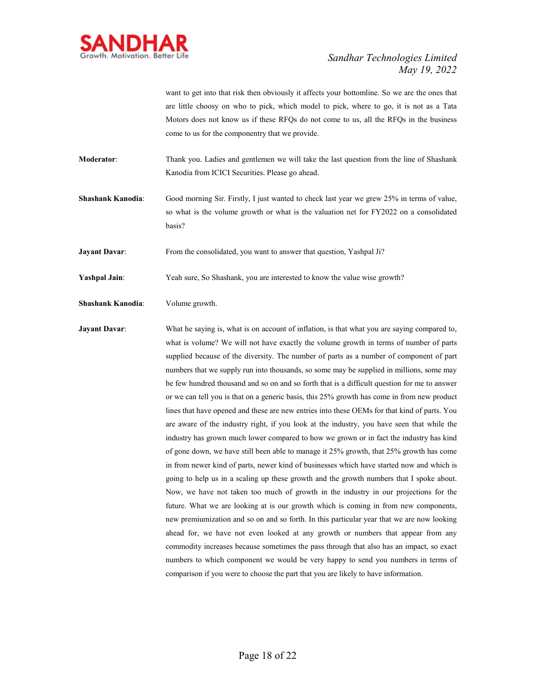

want to get into that risk then obviously it affects your bottomline. So we are the ones that are little choosy on who to pick, which model to pick, where to go, it is not as a Tata Motors does not know us if these RFQs do not come to us, all the RFQs in the business come to us for the componentry that we provide.

**Moderator**: Thank you. Ladies and gentlemen we will take the last question from the line of Shashank Kanodia from ICICI Securities. Please go ahead.

**Shashank Kanodia**: Good morning Sir. Firstly, I just wanted to check last year we grew 25% in terms of value, so what is the volume growth or what is the valuation net for FY2022 on a consolidated basis?

**Jayant Davar:** From the consolidated, you want to answer that question, Yashpal Ji?

**Yashpal Jain**: Yeah sure, So Shashank, you are interested to know the value wise growth?

**Shashank Kanodia**: Volume growth.

**Jayant Davar:** What he saying is, what is on account of inflation, is that what you are saying compared to, what is volume? We will not have exactly the volume growth in terms of number of parts supplied because of the diversity. The number of parts as a number of component of part numbers that we supply run into thousands, so some may be supplied in millions, some may be few hundred thousand and so on and so forth that is a difficult question for me to answer or we can tell you is that on a generic basis, this 25% growth has come in from new product lines that have opened and these are new entries into these OEMs for that kind of parts. You are aware of the industry right, if you look at the industry, you have seen that while the industry has grown much lower compared to how we grown or in fact the industry has kind of gone down, we have still been able to manage it 25% growth, that 25% growth has come in from newer kind of parts, newer kind of businesses which have started now and which is going to help us in a scaling up these growth and the growth numbers that I spoke about. Now, we have not taken too much of growth in the industry in our projections for the future. What we are looking at is our growth which is coming in from new components, new premiumization and so on and so forth. In this particular year that we are now looking ahead for, we have not even looked at any growth or numbers that appear from any commodity increases because sometimes the pass through that also has an impact, so exact numbers to which component we would be very happy to send you numbers in terms of comparison if you were to choose the part that you are likely to have information.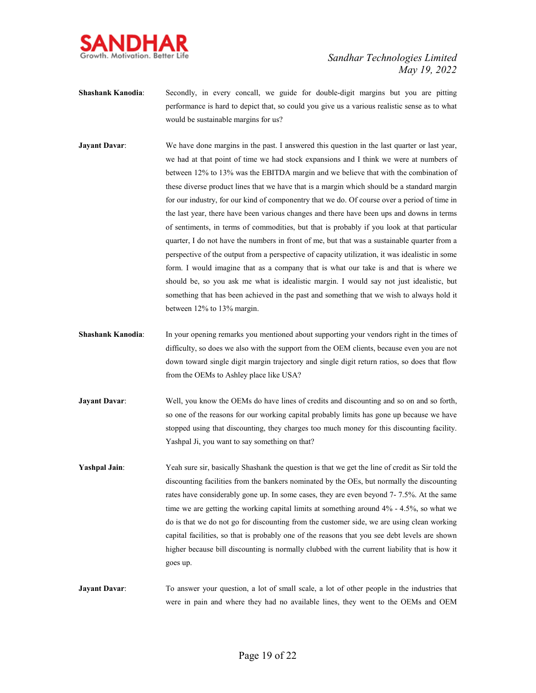

- **Shashank Kanodia:** Secondly, in every concall, we guide for double-digit margins but you are pitting performance is hard to depict that, so could you give us a various realistic sense as to what would be sustainable margins for us?
- **Jayant Davar:** We have done margins in the past. I answered this question in the last quarter or last year, we had at that point of time we had stock expansions and I think we were at numbers of between 12% to 13% was the EBITDA margin and we believe that with the combination of these diverse product lines that we have that is a margin which should be a standard margin for our industry, for our kind of componentry that we do. Of course over a period of time in the last year, there have been various changes and there have been ups and downs in terms of sentiments, in terms of commodities, but that is probably if you look at that particular quarter, I do not have the numbers in front of me, but that was a sustainable quarter from a perspective of the output from a perspective of capacity utilization, it was idealistic in some form. I would imagine that as a company that is what our take is and that is where we should be, so you ask me what is idealistic margin. I would say not just idealistic, but something that has been achieved in the past and something that we wish to always hold it between 12% to 13% margin.
- **Shashank Kanodia**: In your opening remarks you mentioned about supporting your vendors right in the times of difficulty, so does we also with the support from the OEM clients, because even you are not down toward single digit margin trajectory and single digit return ratios, so does that flow from the OEMs to Ashley place like USA?
- **Jayant Davar:** Well, you know the OEMs do have lines of credits and discounting and so on and so forth, so one of the reasons for our working capital probably limits has gone up because we have stopped using that discounting, they charges too much money for this discounting facility. Yashpal Ji, you want to say something on that?
- **Yashpal Jain:** Yeah sure sir, basically Shashank the question is that we get the line of credit as Sir told the discounting facilities from the bankers nominated by the OEs, but normally the discounting rates have considerably gone up. In some cases, they are even beyond 7- 7.5%. At the same time we are getting the working capital limits at something around 4% - 4.5%, so what we do is that we do not go for discounting from the customer side, we are using clean working capital facilities, so that is probably one of the reasons that you see debt levels are shown higher because bill discounting is normally clubbed with the current liability that is how it goes up.
- **Jayant Davar:** To answer your question, a lot of small scale, a lot of other people in the industries that were in pain and where they had no available lines, they went to the OEMs and OEM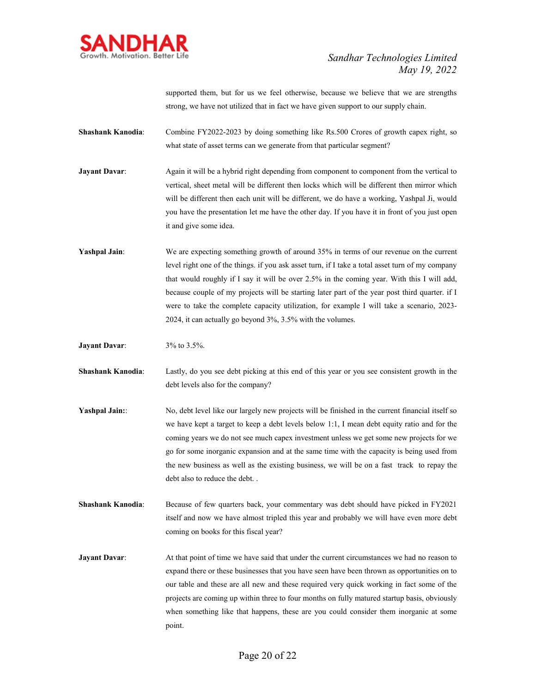

supported them, but for us we feel otherwise, because we believe that we are strengths strong, we have not utilized that in fact we have given support to our supply chain.

**Shashank Kanodia:** Combine FY2022-2023 by doing something like Rs.500 Crores of growth capex right, so what state of asset terms can we generate from that particular segment?

**Jayant Davar:** Again it will be a hybrid right depending from component to component from the vertical to vertical, sheet metal will be different then locks which will be different then mirror which will be different then each unit will be different, we do have a working, Yashpal Ji, would you have the presentation let me have the other day. If you have it in front of you just open it and give some idea.

**Yashpal Jain:** We are expecting something growth of around 35% in terms of our revenue on the current level right one of the things. if you ask asset turn, if I take a total asset turn of my company that would roughly if I say it will be over 2.5% in the coming year. With this I will add, because couple of my projects will be starting later part of the year post third quarter. if I were to take the complete capacity utilization, for example I will take a scenario, 2023- 2024, it can actually go beyond 3%, 3.5% with the volumes.

**Jayant Davar**: 3% to 3.5%.

**Shashank Kanodia**: Lastly, do you see debt picking at this end of this year or you see consistent growth in the debt levels also for the company?

- **Yashpal Jain:** No, debt level like our largely new projects will be finished in the current financial itself so we have kept a target to keep a debt levels below 1:1, I mean debt equity ratio and for the coming years we do not see much capex investment unless we get some new projects for we go for some inorganic expansion and at the same time with the capacity is being used from the new business as well as the existing business, we will be on a fast track to repay the debt also to reduce the debt. .
- **Shashank Kanodia:** Because of few quarters back, your commentary was debt should have picked in FY2021 itself and now we have almost tripled this year and probably we will have even more debt coming on books for this fiscal year?
- **Jayant Davar:** At that point of time we have said that under the current circumstances we had no reason to expand there or these businesses that you have seen have been thrown as opportunities on to our table and these are all new and these required very quick working in fact some of the projects are coming up within three to four months on fully matured startup basis, obviously when something like that happens, these are you could consider them inorganic at some point.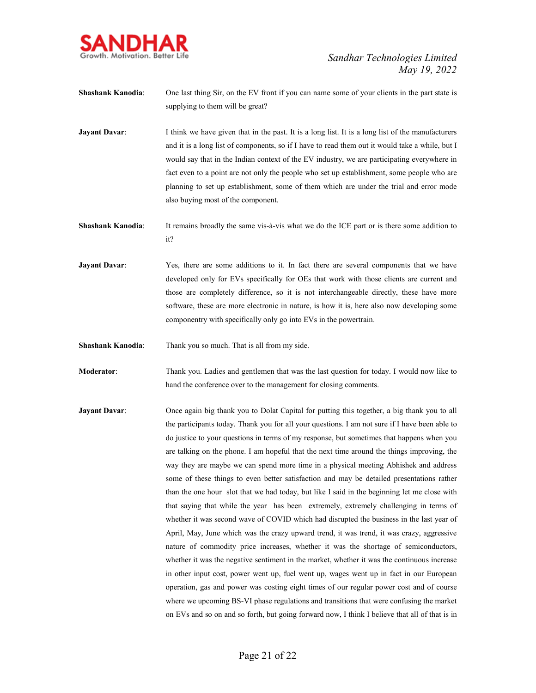

- **Shashank Kanodia**: One last thing Sir, on the EV front if you can name some of your clients in the part state is supplying to them will be great?
- **Jayant Davar:** I think we have given that in the past. It is a long list. It is a long list of the manufacturers and it is a long list of components, so if I have to read them out it would take a while, but I would say that in the Indian context of the EV industry, we are participating everywhere in fact even to a point are not only the people who set up establishment, some people who are planning to set up establishment, some of them which are under the trial and error mode also buying most of the component.
- **Shashank Kanodia:** It remains broadly the same vis-à-vis what we do the ICE part or is there some addition to it?
- **Jayant Davar:** Yes, there are some additions to it. In fact there are several components that we have developed only for EVs specifically for OEs that work with those clients are current and those are completely difference, so it is not interchangeable directly, these have more software, these are more electronic in nature, is how it is, here also now developing some componentry with specifically only go into EVs in the powertrain.
- **Shashank Kanodia**: Thank you so much. That is all from my side.
- **Moderator**: Thank you. Ladies and gentlemen that was the last question for today. I would now like to hand the conference over to the management for closing comments.
- **Jayant Davar:** Once again big thank you to Dolat Capital for putting this together, a big thank you to all the participants today. Thank you for all your questions. I am not sure if I have been able to do justice to your questions in terms of my response, but sometimes that happens when you are talking on the phone. I am hopeful that the next time around the things improving, the way they are maybe we can spend more time in a physical meeting Abhishek and address some of these things to even better satisfaction and may be detailed presentations rather than the one hour slot that we had today, but like I said in the beginning let me close with that saying that while the year has been extremely, extremely challenging in terms of whether it was second wave of COVID which had disrupted the business in the last year of April, May, June which was the crazy upward trend, it was trend, it was crazy, aggressive nature of commodity price increases, whether it was the shortage of semiconductors, whether it was the negative sentiment in the market, whether it was the continuous increase in other input cost, power went up, fuel went up, wages went up in fact in our European operation, gas and power was costing eight times of our regular power cost and of course where we upcoming BS-VI phase regulations and transitions that were confusing the market on EVs and so on and so forth, but going forward now, I think I believe that all of that is in